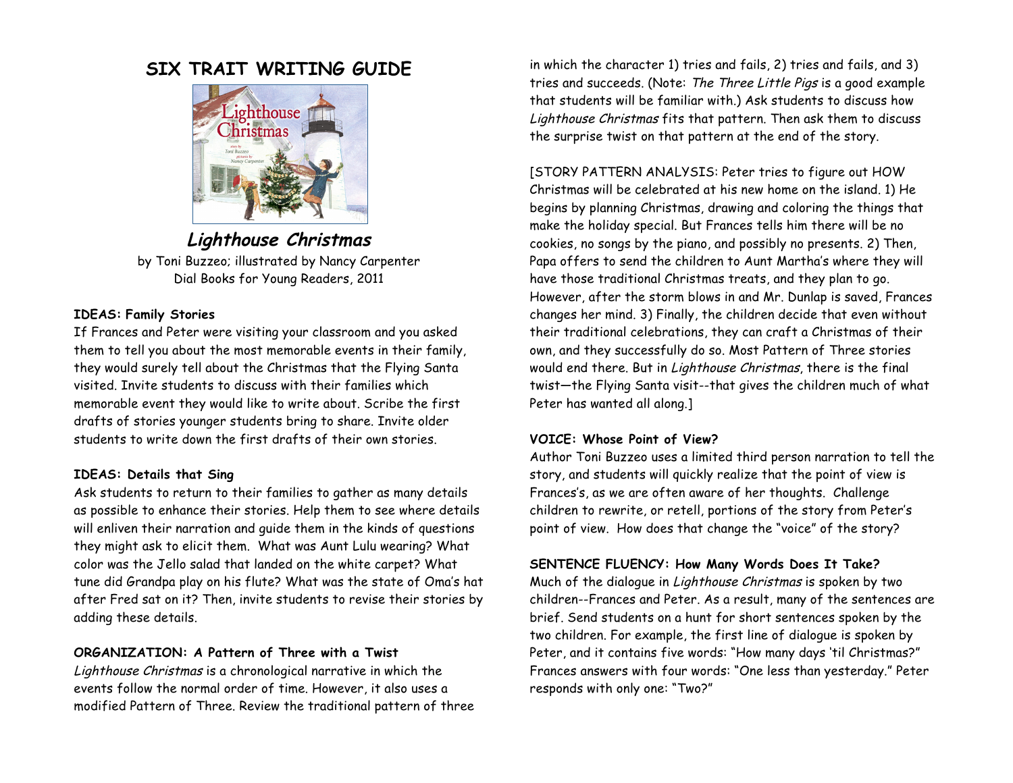# **SIX TRAIT WRITING GUIDE**



**Lighthouse Christmas**

by Toni Buzzeo; illustrated by Nancy Carpenter Dial Books for Young Readers, 2011

## **IDEAS: Family Stories**

If Frances and Peter were visiting your classroom and you asked them to tell you about the most memorable events in their family, they would surely tell about the Christmas that the Flying Santa visited. Invite students to discuss with their families which memorable event they would like to write about. Scribe the first drafts of stories younger students bring to share. Invite older students to write down the first drafts of their own stories.

# **IDEAS: Details that Sing**

Ask students to return to their families to gather as many details as possible to enhance their stories. Help them to see where details will enliven their narration and guide them in the kinds of questions they might ask to elicit them. What was Aunt Lulu wearing? What color was the Jello salad that landed on the white carpet? What tune did Grandpa play on his flute? What was the state of Oma's hat after Fred sat on it? Then, invite students to revise their stories by adding these details.

# **ORGANIZATION: A Pattern of Three with a Twist**

Lighthouse Christmas is a chronological narrative in which the events follow the normal order of time. However, it also uses a modified Pattern of Three. Review the traditional pattern of three

in which the character 1) tries and fails, 2) tries and fails, and 3) tries and succeeds. (Note: The Three Little Pigs is a good example that students will be familiar with.) Ask students to discuss how Lighthouse Christmas fits that pattern. Then ask them to discuss the surprise twist on that pattern at the end of the story.

[STORY PATTERN ANALYSIS: Peter tries to figure out HOW Christmas will be celebrated at his new home on the island. 1) He begins by planning Christmas, drawing and coloring the things that make the holiday special. But Frances tells him there will be no cookies, no songs by the piano, and possibly no presents. 2) Then, Papa offers to send the children to Aunt Martha's where they will have those traditional Christmas treats, and they plan to go. However, after the storm blows in and Mr. Dunlap is saved, Frances changes her mind. 3) Finally, the children decide that even without their traditional celebrations, they can craft a Christmas of their own, and they successfully do so. Most Pattern of Three stories would end there. But in Lighthouse Christmas, there is the final twist—the Flying Santa visit--that gives the children much of what Peter has wanted all along.]

#### **VOICE: Whose Point of View?**

Author Toni Buzzeo uses a limited third person narration to tell the story, and students will quickly realize that the point of view is Frances's, as we are often aware of her thoughts. Challenge children to rewrite, or retell, portions of the story from Peter's point of view. How does that change the "voice" of the story?

# **SENTENCE FLUENCY: How Many Words Does It Take?**

Much of the dialogue in Lighthouse Christmas is spoken by two children--Frances and Peter. As a result, many of the sentences are brief. Send students on a hunt for short sentences spoken by the two children. For example, the first line of dialogue is spoken by Peter, and it contains five words: "How many days 'til Christmas?" Frances answers with four words: "One less than yesterday." Peter responds with only one: "Two?"